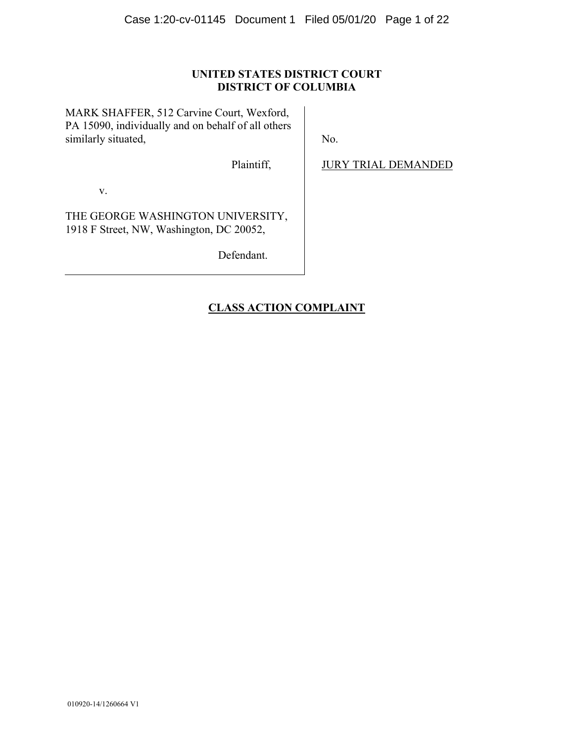## **UNITED STATES DISTRICT COURT DISTRICT OF COLUMBIA**

MARK SHAFFER, 512 Carvine Court, Wexford, PA 15090, individually and on behalf of all others similarly situated,

No.

Plaintiff,

JURY TRIAL DEMANDED

v.

THE GEORGE WASHINGTON UNIVERSITY, 1918 F Street, NW, Washington, DC 20052,

Defendant.

# **CLASS ACTION COMPLAINT**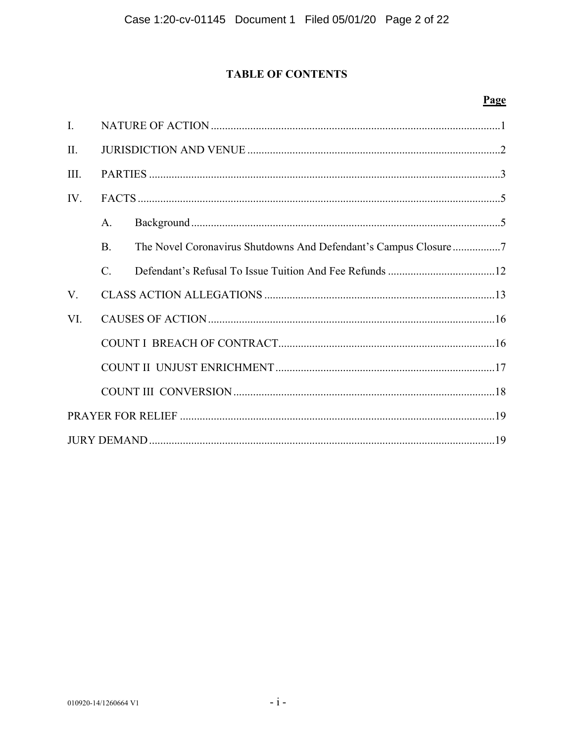# **TABLE OF CONTENTS**

# Page

| I.             |                 |  |  |  |  |  |
|----------------|-----------------|--|--|--|--|--|
| $\mathbf{H}$ . |                 |  |  |  |  |  |
| III.           |                 |  |  |  |  |  |
| IV.            |                 |  |  |  |  |  |
|                | A.              |  |  |  |  |  |
|                | $\mathbf{B}$ .  |  |  |  |  |  |
|                | $\mathcal{C}$ . |  |  |  |  |  |
| V.             |                 |  |  |  |  |  |
| VI.            |                 |  |  |  |  |  |
|                |                 |  |  |  |  |  |
|                |                 |  |  |  |  |  |
|                |                 |  |  |  |  |  |
|                |                 |  |  |  |  |  |
|                |                 |  |  |  |  |  |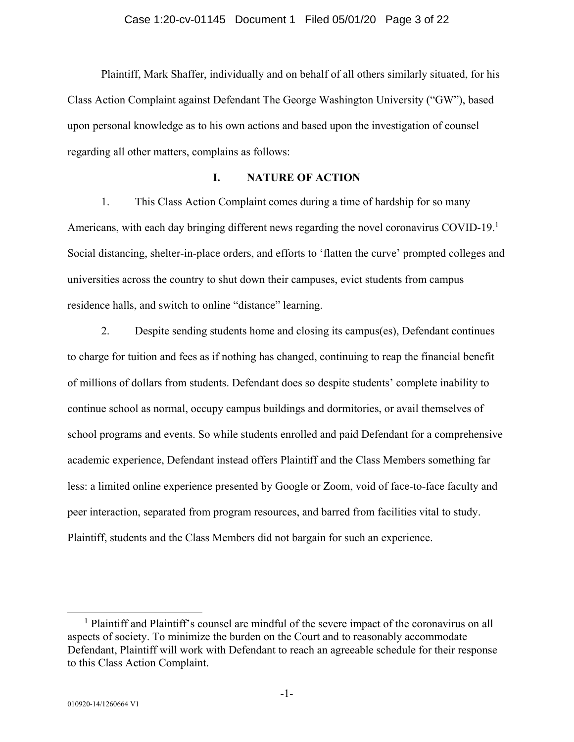Plaintiff, Mark Shaffer, individually and on behalf of all others similarly situated, for his Class Action Complaint against Defendant The George Washington University ("GW"), based upon personal knowledge as to his own actions and based upon the investigation of counsel regarding all other matters, complains as follows:

## **I. NATURE OF ACTION**

1. This Class Action Complaint comes during a time of hardship for so many Americans, with each day bringing different news regarding the novel coronavirus COVID-19.<sup>1</sup> Social distancing, shelter-in-place orders, and efforts to 'flatten the curve' prompted colleges and universities across the country to shut down their campuses, evict students from campus residence halls, and switch to online "distance" learning.

2. Despite sending students home and closing its campus(es), Defendant continues to charge for tuition and fees as if nothing has changed, continuing to reap the financial benefit of millions of dollars from students. Defendant does so despite students' complete inability to continue school as normal, occupy campus buildings and dormitories, or avail themselves of school programs and events. So while students enrolled and paid Defendant for a comprehensive academic experience, Defendant instead offers Plaintiff and the Class Members something far less: a limited online experience presented by Google or Zoom, void of face-to-face faculty and peer interaction, separated from program resources, and barred from facilities vital to study. Plaintiff, students and the Class Members did not bargain for such an experience.

 $\frac{1}{1}$ <sup>1</sup> Plaintiff and Plaintiff's counsel are mindful of the severe impact of the coronavirus on all aspects of society. To minimize the burden on the Court and to reasonably accommodate Defendant, Plaintiff will work with Defendant to reach an agreeable schedule for their response to this Class Action Complaint.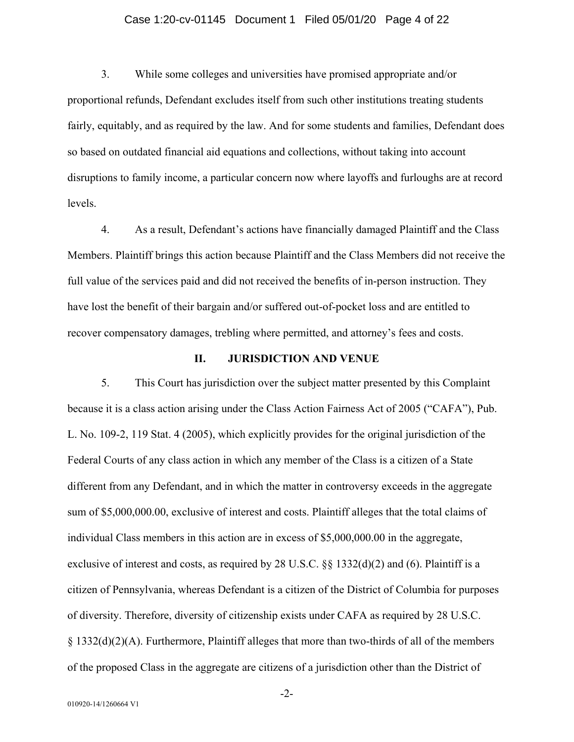#### Case 1:20-cv-01145 Document 1 Filed 05/01/20 Page 4 of 22

3. While some colleges and universities have promised appropriate and/or proportional refunds, Defendant excludes itself from such other institutions treating students fairly, equitably, and as required by the law. And for some students and families, Defendant does so based on outdated financial aid equations and collections, without taking into account disruptions to family income, a particular concern now where layoffs and furloughs are at record levels.

4. As a result, Defendant's actions have financially damaged Plaintiff and the Class Members. Plaintiff brings this action because Plaintiff and the Class Members did not receive the full value of the services paid and did not received the benefits of in-person instruction. They have lost the benefit of their bargain and/or suffered out-of-pocket loss and are entitled to recover compensatory damages, trebling where permitted, and attorney's fees and costs.

#### **II. JURISDICTION AND VENUE**

5. This Court has jurisdiction over the subject matter presented by this Complaint because it is a class action arising under the Class Action Fairness Act of 2005 ("CAFA"), Pub. L. No. 109-2, 119 Stat. 4 (2005), which explicitly provides for the original jurisdiction of the Federal Courts of any class action in which any member of the Class is a citizen of a State different from any Defendant, and in which the matter in controversy exceeds in the aggregate sum of \$5,000,000.00, exclusive of interest and costs. Plaintiff alleges that the total claims of individual Class members in this action are in excess of \$5,000,000.00 in the aggregate, exclusive of interest and costs, as required by 28 U.S.C. §§ 1332(d)(2) and (6). Plaintiff is a citizen of Pennsylvania, whereas Defendant is a citizen of the District of Columbia for purposes of diversity. Therefore, diversity of citizenship exists under CAFA as required by 28 U.S.C. § 1332(d)(2)(A). Furthermore, Plaintiff alleges that more than two-thirds of all of the members of the proposed Class in the aggregate are citizens of a jurisdiction other than the District of

-2-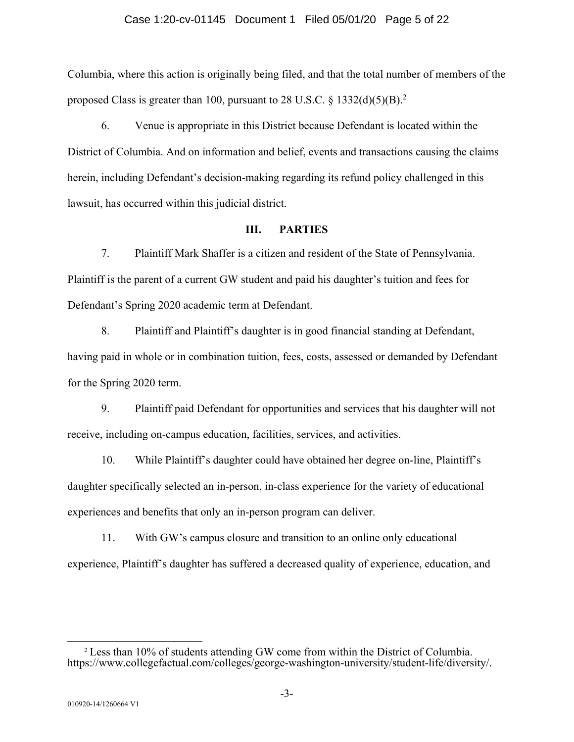#### Case 1:20-cv-01145 Document 1 Filed 05/01/20 Page 5 of 22

Columbia, where this action is originally being filed, and that the total number of members of the proposed Class is greater than 100, pursuant to 28 U.S.C.  $\S$  1332(d)(5)(B).<sup>2</sup>

6. Venue is appropriate in this District because Defendant is located within the District of Columbia. And on information and belief, events and transactions causing the claims herein, including Defendant's decision-making regarding its refund policy challenged in this lawsuit, has occurred within this judicial district.

## **III. PARTIES**

7. Plaintiff Mark Shaffer is a citizen and resident of the State of Pennsylvania. Plaintiff is the parent of a current GW student and paid his daughter's tuition and fees for Defendant's Spring 2020 academic term at Defendant.

8. Plaintiff and Plaintiff's daughter is in good financial standing at Defendant, having paid in whole or in combination tuition, fees, costs, assessed or demanded by Defendant for the Spring 2020 term.

9. Plaintiff paid Defendant for opportunities and services that his daughter will not receive, including on-campus education, facilities, services, and activities.

10. While Plaintiff's daughter could have obtained her degree on-line, Plaintiff's daughter specifically selected an in-person, in-class experience for the variety of educational experiences and benefits that only an in-person program can deliver.

11. With GW's campus closure and transition to an online only educational experience, Plaintiff's daughter has suffered a decreased quality of experience, education, and

 <sup>2</sup> Less than 10% of students attending GW come from within the District of Columbia. https://www.collegefactual.com/colleges/george-washington-university/student-life/diversity/.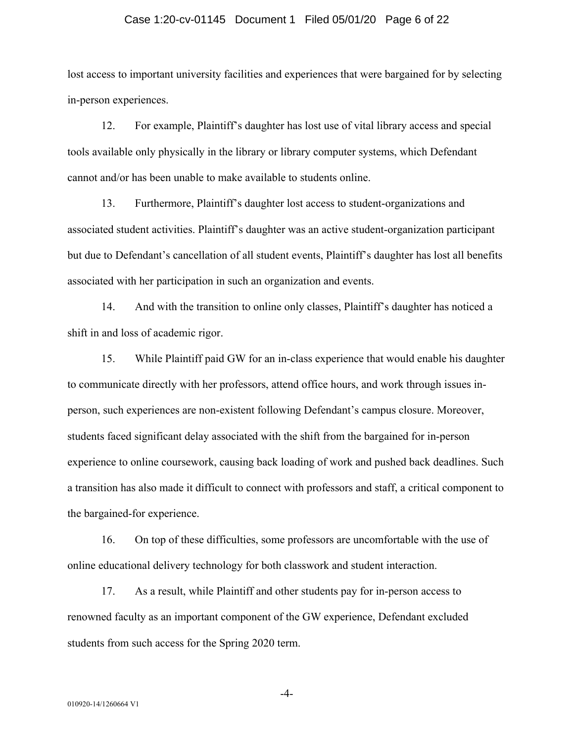#### Case 1:20-cv-01145 Document 1 Filed 05/01/20 Page 6 of 22

lost access to important university facilities and experiences that were bargained for by selecting in-person experiences.

12. For example, Plaintiff's daughter has lost use of vital library access and special tools available only physically in the library or library computer systems, which Defendant cannot and/or has been unable to make available to students online.

13. Furthermore, Plaintiff's daughter lost access to student-organizations and associated student activities. Plaintiff's daughter was an active student-organization participant but due to Defendant's cancellation of all student events, Plaintiff's daughter has lost all benefits associated with her participation in such an organization and events.

14. And with the transition to online only classes, Plaintiff's daughter has noticed a shift in and loss of academic rigor.

15. While Plaintiff paid GW for an in-class experience that would enable his daughter to communicate directly with her professors, attend office hours, and work through issues inperson, such experiences are non-existent following Defendant's campus closure. Moreover, students faced significant delay associated with the shift from the bargained for in-person experience to online coursework, causing back loading of work and pushed back deadlines. Such a transition has also made it difficult to connect with professors and staff, a critical component to the bargained-for experience.

16. On top of these difficulties, some professors are uncomfortable with the use of online educational delivery technology for both classwork and student interaction.

17. As a result, while Plaintiff and other students pay for in-person access to renowned faculty as an important component of the GW experience, Defendant excluded students from such access for the Spring 2020 term.

-4-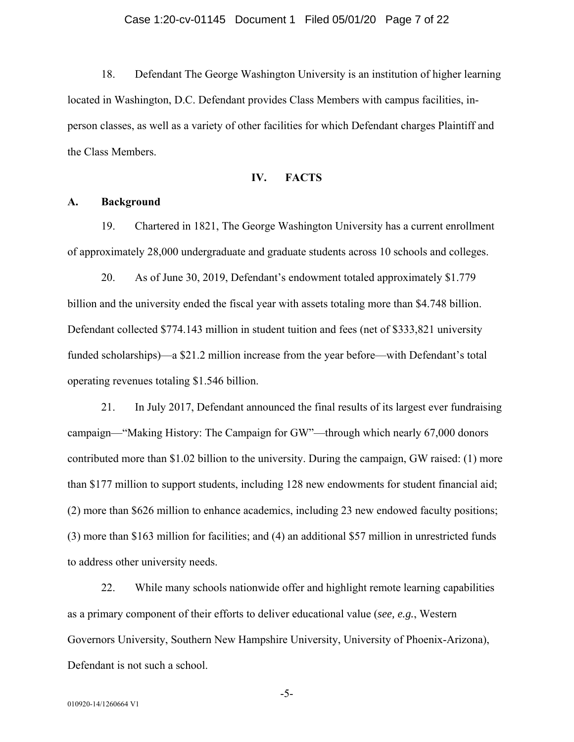18. Defendant The George Washington University is an institution of higher learning located in Washington, D.C. Defendant provides Class Members with campus facilities, inperson classes, as well as a variety of other facilities for which Defendant charges Plaintiff and the Class Members.

#### **IV. FACTS**

#### **A. Background**

19. Chartered in 1821, The George Washington University has a current enrollment of approximately 28,000 undergraduate and graduate students across 10 schools and colleges.

20. As of June 30, 2019, Defendant's endowment totaled approximately \$1.779 billion and the university ended the fiscal year with assets totaling more than \$4.748 billion. Defendant collected \$774.143 million in student tuition and fees (net of \$333,821 university funded scholarships)—a \$21.2 million increase from the year before—with Defendant's total operating revenues totaling \$1.546 billion.

21. In July 2017, Defendant announced the final results of its largest ever fundraising campaign—"Making History: The Campaign for GW"—through which nearly 67,000 donors contributed more than \$1.02 billion to the university. During the campaign, GW raised: (1) more than \$177 million to support students, including 128 new endowments for student financial aid; (2) more than \$626 million to enhance academics, including 23 new endowed faculty positions; (3) more than \$163 million for facilities; and (4) an additional \$57 million in unrestricted funds to address other university needs.

22. While many schools nationwide offer and highlight remote learning capabilities as a primary component of their efforts to deliver educational value (*see, e.g.*, Western Governors University, Southern New Hampshire University, University of Phoenix-Arizona), Defendant is not such a school.

-5-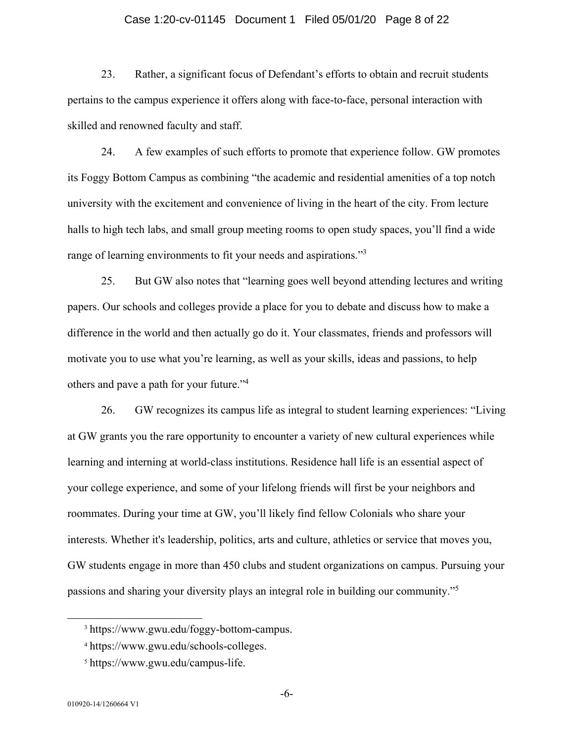#### Case 1:20-cv-01145 Document 1 Filed 05/01/20 Page 8 of 22

23. Rather, a significant focus of Defendant's efforts to obtain and recruit students pertains to the campus experience it offers along with face-to-face, personal interaction with skilled and renowned faculty and staff.

24. A few examples of such efforts to promote that experience follow. GW promotes its Foggy Bottom Campus as combining "the academic and residential amenities of a top notch university with the excitement and convenience of living in the heart of the city. From lecture halls to high tech labs, and small group meeting rooms to open study spaces, you'll find a wide range of learning environments to fit your needs and aspirations."<sup>3</sup>

25. But GW also notes that "learning goes well beyond attending lectures and writing papers. Our schools and colleges provide a place for you to debate and discuss how to make a difference in the world and then actually go do it. Your classmates, friends and professors will motivate you to use what you're learning, as well as your skills, ideas and passions, to help others and pave a path for your future."<sup>4</sup>

26. GW recognizes its campus life as integral to student learning experiences: "Living at GW grants you the rare opportunity to encounter a variety of new cultural experiences while learning and interning at world-class institutions. Residence hall life is an essential aspect of your college experience, and some of your lifelong friends will first be your neighbors and roommates. During your time at GW, you'll likely find fellow Colonials who share your interests. Whether it's leadership, politics, arts and culture, athletics or service that moves you, GW students engage in more than 450 clubs and student organizations on campus. Pursuing your passions and sharing your diversity plays an integral role in building our community."5

 <sup>3</sup> https://www.gwu.edu/foggy-bottom-campus.

<sup>4</sup> https://www.gwu.edu/schools-colleges.

<sup>5</sup> https://www.gwu.edu/campus-life.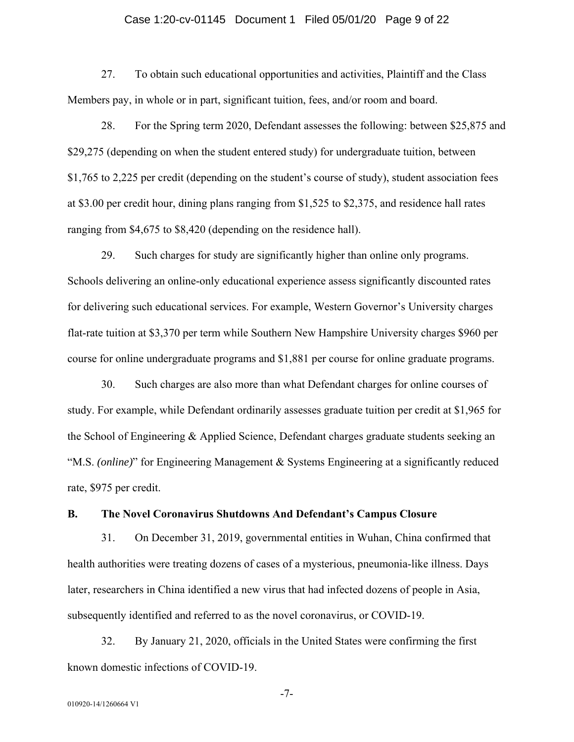#### Case 1:20-cv-01145 Document 1 Filed 05/01/20 Page 9 of 22

27. To obtain such educational opportunities and activities, Plaintiff and the Class Members pay, in whole or in part, significant tuition, fees, and/or room and board.

28. For the Spring term 2020, Defendant assesses the following: between \$25,875 and \$29,275 (depending on when the student entered study) for undergraduate tuition, between \$1,765 to 2,225 per credit (depending on the student's course of study), student association fees at \$3.00 per credit hour, dining plans ranging from \$1,525 to \$2,375, and residence hall rates ranging from \$4,675 to \$8,420 (depending on the residence hall).

29. Such charges for study are significantly higher than online only programs. Schools delivering an online-only educational experience assess significantly discounted rates for delivering such educational services. For example, Western Governor's University charges flat-rate tuition at \$3,370 per term while Southern New Hampshire University charges \$960 per course for online undergraduate programs and \$1,881 per course for online graduate programs.

30. Such charges are also more than what Defendant charges for online courses of study. For example, while Defendant ordinarily assesses graduate tuition per credit at \$1,965 for the School of Engineering & Applied Science, Defendant charges graduate students seeking an "M.S. *(online)*" for Engineering Management & Systems Engineering at a significantly reduced rate, \$975 per credit.

#### **B. The Novel Coronavirus Shutdowns And Defendant's Campus Closure**

31. On December 31, 2019, governmental entities in Wuhan, China confirmed that health authorities were treating dozens of cases of a mysterious, pneumonia-like illness. Days later, researchers in China identified a new virus that had infected dozens of people in Asia, subsequently identified and referred to as the novel coronavirus, or COVID-19.

32. By January 21, 2020, officials in the United States were confirming the first known domestic infections of COVID-19.

-7-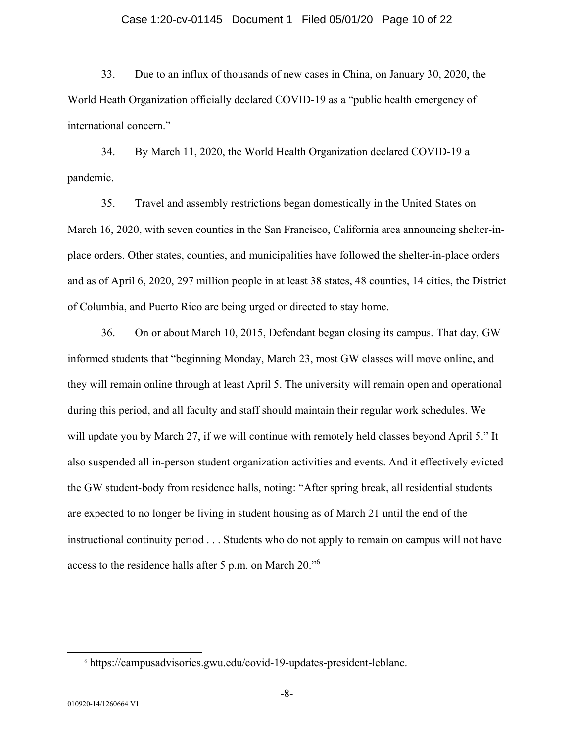#### Case 1:20-cv-01145 Document 1 Filed 05/01/20 Page 10 of 22

33. Due to an influx of thousands of new cases in China, on January 30, 2020, the World Heath Organization officially declared COVID-19 as a "public health emergency of international concern."

34. By March 11, 2020, the World Health Organization declared COVID-19 a pandemic.

35. Travel and assembly restrictions began domestically in the United States on March 16, 2020, with seven counties in the San Francisco, California area announcing shelter-inplace orders. Other states, counties, and municipalities have followed the shelter-in-place orders and as of April 6, 2020, 297 million people in at least 38 states, 48 counties, 14 cities, the District of Columbia, and Puerto Rico are being urged or directed to stay home.

36. On or about March 10, 2015, Defendant began closing its campus. That day, GW informed students that "beginning Monday, March 23, most GW classes will move online, and they will remain online through at least April 5. The university will remain open and operational during this period, and all faculty and staff should maintain their regular work schedules. We will update you by March 27, if we will continue with remotely held classes beyond April 5." It also suspended all in-person student organization activities and events. And it effectively evicted the GW student-body from residence halls, noting: "After spring break, all residential students are expected to no longer be living in student housing as of March 21 until the end of the instructional continuity period . . . Students who do not apply to remain on campus will not have access to the residence halls after 5 p.m. on March 20."6

 <sup>6</sup> https://campusadvisories.gwu.edu/covid-19-updates-president-leblanc.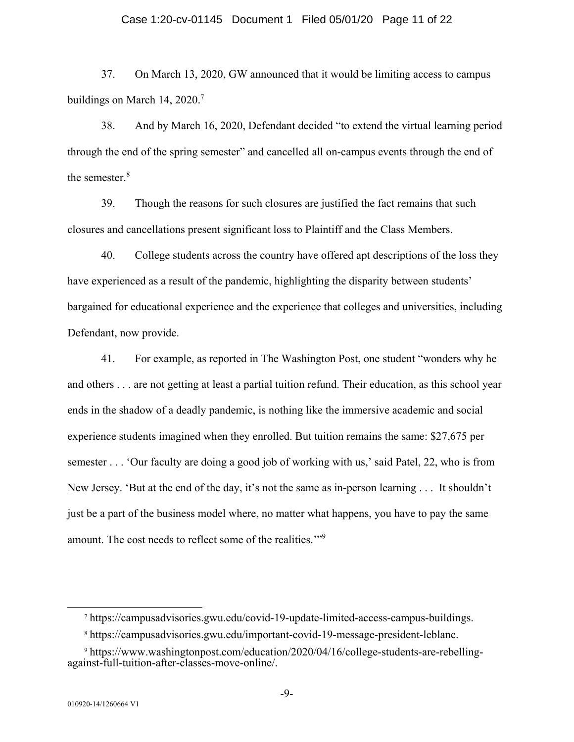#### Case 1:20-cv-01145 Document 1 Filed 05/01/20 Page 11 of 22

37. On March 13, 2020, GW announced that it would be limiting access to campus buildings on March 14, 2020.<sup>7</sup>

38. And by March 16, 2020, Defendant decided "to extend the virtual learning period through the end of the spring semester" and cancelled all on-campus events through the end of the semester.<sup>8</sup>

39. Though the reasons for such closures are justified the fact remains that such closures and cancellations present significant loss to Plaintiff and the Class Members.

40. College students across the country have offered apt descriptions of the loss they have experienced as a result of the pandemic, highlighting the disparity between students' bargained for educational experience and the experience that colleges and universities, including Defendant, now provide.

41. For example, as reported in The Washington Post, one student "wonders why he and others . . . are not getting at least a partial tuition refund. Their education, as this school year ends in the shadow of a deadly pandemic, is nothing like the immersive academic and social experience students imagined when they enrolled. But tuition remains the same: \$27,675 per semester . . . 'Our faculty are doing a good job of working with us,' said Patel, 22, who is from New Jersey. 'But at the end of the day, it's not the same as in-person learning . . . It shouldn't just be a part of the business model where, no matter what happens, you have to pay the same amount. The cost needs to reflect some of the realities."<sup>9</sup>

 <sup>7</sup> https://campusadvisories.gwu.edu/covid-19-update-limited-access-campus-buildings.

<sup>8</sup> https://campusadvisories.gwu.edu/important-covid-19-message-president-leblanc.

<sup>9</sup> https://www.washingtonpost.com/education/2020/04/16/college-students-are-rebellingagainst-full-tuition-after-classes-move-online/.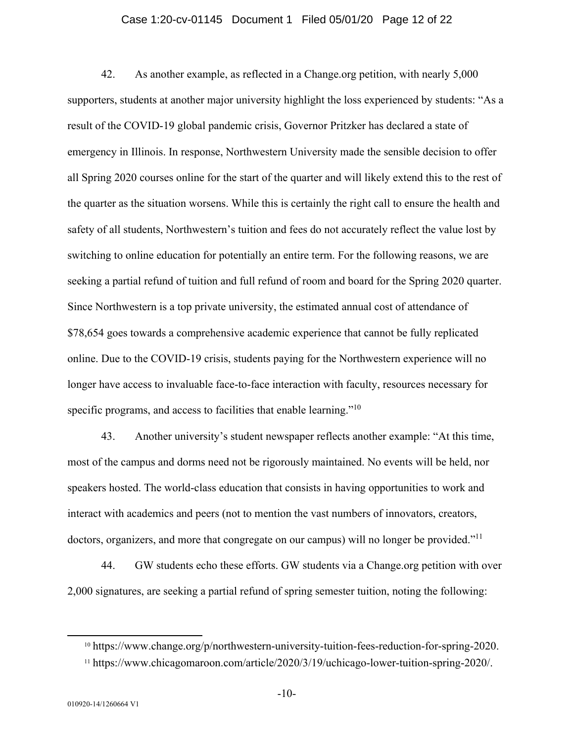#### Case 1:20-cv-01145 Document 1 Filed 05/01/20 Page 12 of 22

42. As another example, as reflected in a Change.org petition, with nearly 5,000 supporters, students at another major university highlight the loss experienced by students: "As a result of the COVID-19 global pandemic crisis, Governor Pritzker has declared a state of emergency in Illinois. In response, Northwestern University made the sensible decision to offer all Spring 2020 courses online for the start of the quarter and will likely extend this to the rest of the quarter as the situation worsens. While this is certainly the right call to ensure the health and safety of all students, Northwestern's tuition and fees do not accurately reflect the value lost by switching to online education for potentially an entire term. For the following reasons, we are seeking a partial refund of tuition and full refund of room and board for the Spring 2020 quarter. Since Northwestern is a top private university, the estimated annual cost of attendance of \$78,654 goes towards a comprehensive academic experience that cannot be fully replicated online. Due to the COVID-19 crisis, students paying for the Northwestern experience will no longer have access to invaluable face-to-face interaction with faculty, resources necessary for specific programs, and access to facilities that enable learning."<sup>10</sup>

43. Another university's student newspaper reflects another example: "At this time, most of the campus and dorms need not be rigorously maintained. No events will be held, nor speakers hosted. The world-class education that consists in having opportunities to work and interact with academics and peers (not to mention the vast numbers of innovators, creators, doctors, organizers, and more that congregate on our campus) will no longer be provided."<sup>11</sup>

44. GW students echo these efforts. GW students via a Change.org petition with over 2,000 signatures, are seeking a partial refund of spring semester tuition, noting the following:

 <sup>10</sup> https://www.change.org/p/northwestern-university-tuition-fees-reduction-for-spring-2020.

<sup>11</sup> https://www.chicagomaroon.com/article/2020/3/19/uchicago-lower-tuition-spring-2020/.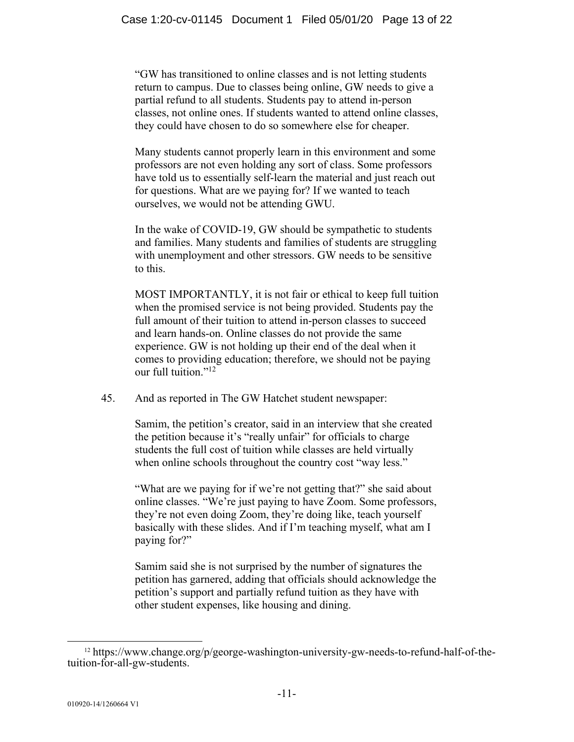"GW has transitioned to online classes and is not letting students return to campus. Due to classes being online, GW needs to give a partial refund to all students. Students pay to attend in-person classes, not online ones. If students wanted to attend online classes, they could have chosen to do so somewhere else for cheaper.

Many students cannot properly learn in this environment and some professors are not even holding any sort of class. Some professors have told us to essentially self-learn the material and just reach out for questions. What are we paying for? If we wanted to teach ourselves, we would not be attending GWU.

In the wake of COVID-19, GW should be sympathetic to students and families. Many students and families of students are struggling with unemployment and other stressors. GW needs to be sensitive to this.

MOST IMPORTANTLY, it is not fair or ethical to keep full tuition when the promised service is not being provided. Students pay the full amount of their tuition to attend in-person classes to succeed and learn hands-on. Online classes do not provide the same experience. GW is not holding up their end of the deal when it comes to providing education; therefore, we should not be paying our full tuition."<sup>12</sup>

45. And as reported in The GW Hatchet student newspaper:

Samim, the petition's creator, said in an interview that she created the petition because it's "really unfair" for officials to charge students the full cost of tuition while classes are held virtually when online schools throughout the country cost "way less."

"What are we paying for if we're not getting that?" she said about online classes. "We're just paying to have Zoom. Some professors, they're not even doing Zoom, they're doing like, teach yourself basically with these slides. And if I'm teaching myself, what am I paying for?"

Samim said she is not surprised by the number of signatures the petition has garnered, adding that officials should acknowledge the petition's support and partially refund tuition as they have with other student expenses, like housing and dining.

 $12 \text{ https://www.change.org/p/george-washington-university-gw-needs-to-refund-half-of-the$ tuition-for-all-gw-students.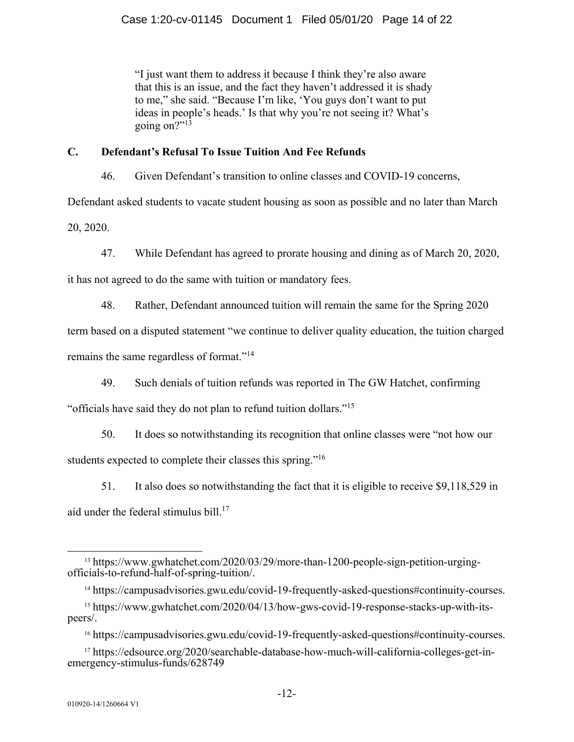"I just want them to address it because I think they're also aware that this is an issue, and the fact they haven't addressed it is shady to me," she said. "Because I'm like, 'You guys don't want to put ideas in people's heads.' Is that why you're not seeing it? What's going on?" $1\overline{3}$ 

# **C. Defendant's Refusal To Issue Tuition And Fee Refunds**

46. Given Defendant's transition to online classes and COVID-19 concerns,

Defendant asked students to vacate student housing as soon as possible and no later than March

20, 2020.

47. While Defendant has agreed to prorate housing and dining as of March 20, 2020,

it has not agreed to do the same with tuition or mandatory fees.

48. Rather, Defendant announced tuition will remain the same for the Spring 2020

term based on a disputed statement "we continue to deliver quality education, the tuition charged remains the same regardless of format."<sup>14</sup>

49. Such denials of tuition refunds was reported in The GW Hatchet, confirming

"officials have said they do not plan to refund tuition dollars."15

- 50. It does so notwithstanding its recognition that online classes were "not how our students expected to complete their classes this spring."<sup>16</sup>
	- 51. It also does so notwithstanding the fact that it is eligible to receive \$9,118,529 in

aid under the federal stimulus bill. $17$ 

 <sup>13</sup> https://www.gwhatchet.com/2020/03/29/more-than-1200-people-sign-petition-urgingofficials-to-refund-half-of-spring-tuition/.

<sup>&</sup>lt;sup>14</sup> https://campusadvisories.gwu.edu/covid-19-frequently-asked-questions#continuity-courses.

<sup>15</sup> https://www.gwhatchet.com/2020/04/13/how-gws-covid-19-response-stacks-up-with-itspeers/.

<sup>16</sup> https://campusadvisories.gwu.edu/covid-19-frequently-asked-questions#continuity-courses.

<sup>17</sup> https://edsource.org/2020/searchable-database-how-much-will-california-colleges-get-inemergency-stimulus-funds/628749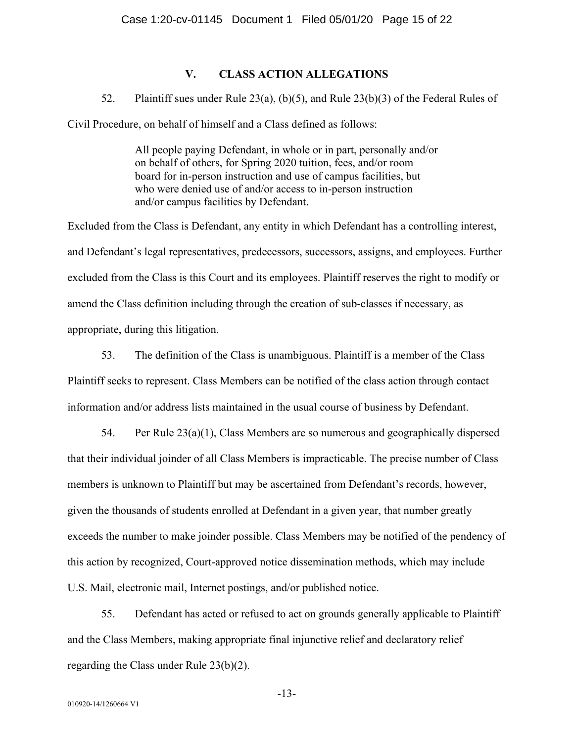# **V. CLASS ACTION ALLEGATIONS**

#### 52. Plaintiff sues under Rule 23(a), (b)(5), and Rule 23(b)(3) of the Federal Rules of

Civil Procedure, on behalf of himself and a Class defined as follows:

All people paying Defendant, in whole or in part, personally and/or on behalf of others, for Spring 2020 tuition, fees, and/or room board for in-person instruction and use of campus facilities, but who were denied use of and/or access to in-person instruction and/or campus facilities by Defendant.

Excluded from the Class is Defendant, any entity in which Defendant has a controlling interest, and Defendant's legal representatives, predecessors, successors, assigns, and employees. Further excluded from the Class is this Court and its employees. Plaintiff reserves the right to modify or amend the Class definition including through the creation of sub-classes if necessary, as appropriate, during this litigation.

53. The definition of the Class is unambiguous. Plaintiff is a member of the Class Plaintiff seeks to represent. Class Members can be notified of the class action through contact information and/or address lists maintained in the usual course of business by Defendant.

54. Per Rule 23(a)(1), Class Members are so numerous and geographically dispersed that their individual joinder of all Class Members is impracticable. The precise number of Class members is unknown to Plaintiff but may be ascertained from Defendant's records, however, given the thousands of students enrolled at Defendant in a given year, that number greatly exceeds the number to make joinder possible. Class Members may be notified of the pendency of this action by recognized, Court-approved notice dissemination methods, which may include U.S. Mail, electronic mail, Internet postings, and/or published notice.

55. Defendant has acted or refused to act on grounds generally applicable to Plaintiff and the Class Members, making appropriate final injunctive relief and declaratory relief regarding the Class under Rule 23(b)(2).

-13-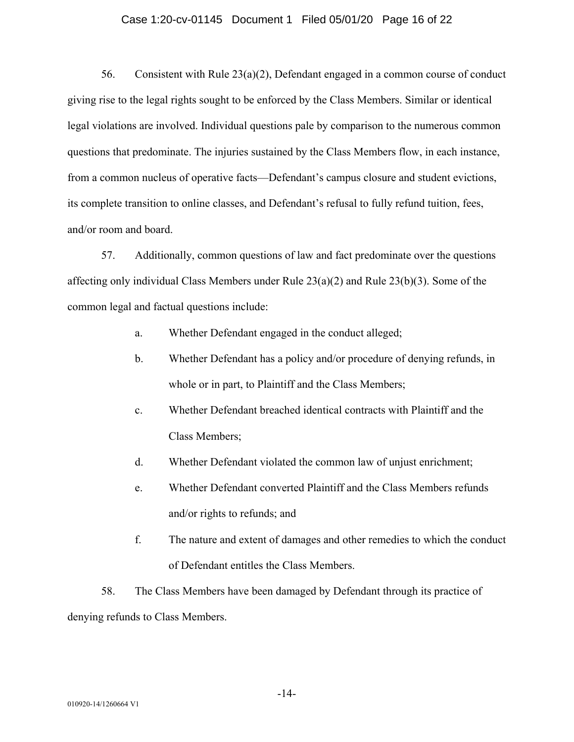#### Case 1:20-cv-01145 Document 1 Filed 05/01/20 Page 16 of 22

56. Consistent with Rule 23(a)(2), Defendant engaged in a common course of conduct giving rise to the legal rights sought to be enforced by the Class Members. Similar or identical legal violations are involved. Individual questions pale by comparison to the numerous common questions that predominate. The injuries sustained by the Class Members flow, in each instance, from a common nucleus of operative facts—Defendant's campus closure and student evictions, its complete transition to online classes, and Defendant's refusal to fully refund tuition, fees, and/or room and board.

57. Additionally, common questions of law and fact predominate over the questions affecting only individual Class Members under Rule 23(a)(2) and Rule 23(b)(3). Some of the common legal and factual questions include:

- a. Whether Defendant engaged in the conduct alleged;
- b. Whether Defendant has a policy and/or procedure of denying refunds, in whole or in part, to Plaintiff and the Class Members;
- c. Whether Defendant breached identical contracts with Plaintiff and the Class Members;
- d. Whether Defendant violated the common law of unjust enrichment;
- e. Whether Defendant converted Plaintiff and the Class Members refunds and/or rights to refunds; and
- f. The nature and extent of damages and other remedies to which the conduct of Defendant entitles the Class Members.

58. The Class Members have been damaged by Defendant through its practice of denying refunds to Class Members.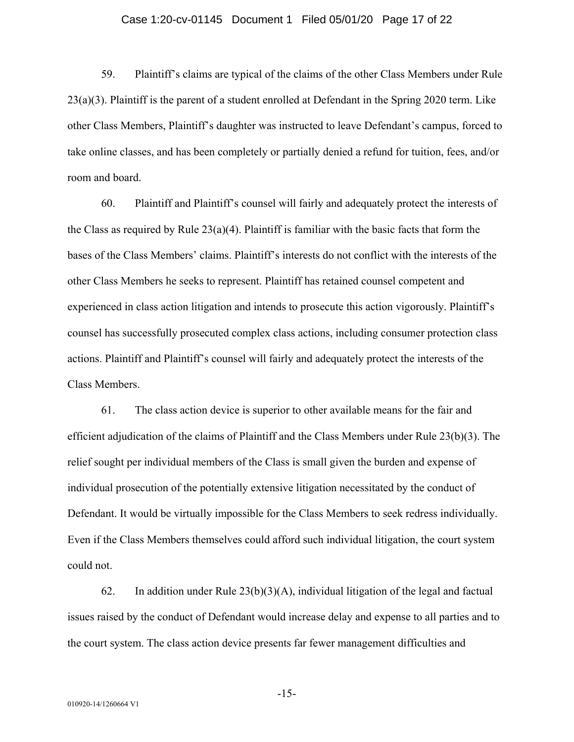#### Case 1:20-cv-01145 Document 1 Filed 05/01/20 Page 17 of 22

59. Plaintiff's claims are typical of the claims of the other Class Members under Rule  $23(a)(3)$ . Plaintiff is the parent of a student enrolled at Defendant in the Spring 2020 term. Like other Class Members, Plaintiff's daughter was instructed to leave Defendant's campus, forced to take online classes, and has been completely or partially denied a refund for tuition, fees, and/or room and board.

60. Plaintiff and Plaintiff's counsel will fairly and adequately protect the interests of the Class as required by Rule  $23(a)(4)$ . Plaintiff is familiar with the basic facts that form the bases of the Class Members' claims. Plaintiff's interests do not conflict with the interests of the other Class Members he seeks to represent. Plaintiff has retained counsel competent and experienced in class action litigation and intends to prosecute this action vigorously. Plaintiff's counsel has successfully prosecuted complex class actions, including consumer protection class actions. Plaintiff and Plaintiff's counsel will fairly and adequately protect the interests of the Class Members.

61. The class action device is superior to other available means for the fair and efficient adjudication of the claims of Plaintiff and the Class Members under Rule 23(b)(3). The relief sought per individual members of the Class is small given the burden and expense of individual prosecution of the potentially extensive litigation necessitated by the conduct of Defendant. It would be virtually impossible for the Class Members to seek redress individually. Even if the Class Members themselves could afford such individual litigation, the court system could not.

62. In addition under Rule  $23(b)(3)(A)$ , individual litigation of the legal and factual issues raised by the conduct of Defendant would increase delay and expense to all parties and to the court system. The class action device presents far fewer management difficulties and

-15-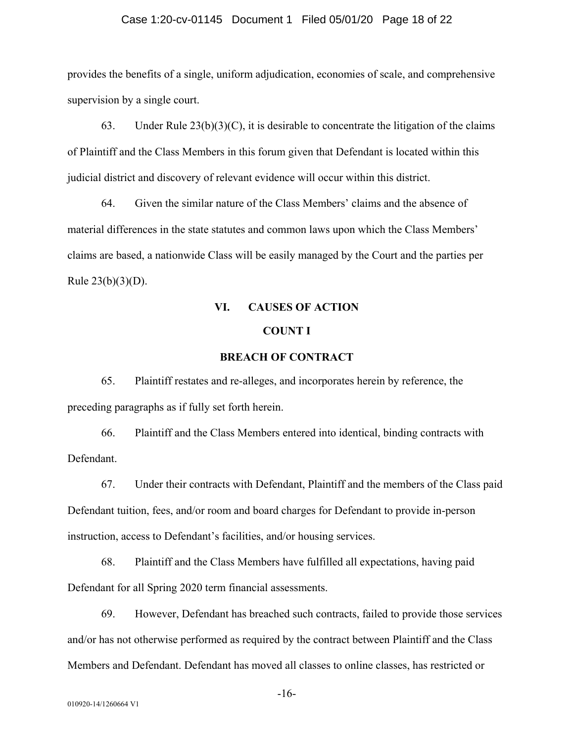#### Case 1:20-cv-01145 Document 1 Filed 05/01/20 Page 18 of 22

provides the benefits of a single, uniform adjudication, economies of scale, and comprehensive supervision by a single court.

63. Under Rule  $23(b)(3)(C)$ , it is desirable to concentrate the litigation of the claims of Plaintiff and the Class Members in this forum given that Defendant is located within this judicial district and discovery of relevant evidence will occur within this district.

64. Given the similar nature of the Class Members' claims and the absence of material differences in the state statutes and common laws upon which the Class Members' claims are based, a nationwide Class will be easily managed by the Court and the parties per Rule  $23(b)(3)(D)$ .

# **VI. CAUSES OF ACTION COUNT I**

#### **BREACH OF CONTRACT**

65. Plaintiff restates and re-alleges, and incorporates herein by reference, the preceding paragraphs as if fully set forth herein.

66. Plaintiff and the Class Members entered into identical, binding contracts with Defendant.

67. Under their contracts with Defendant, Plaintiff and the members of the Class paid Defendant tuition, fees, and/or room and board charges for Defendant to provide in-person instruction, access to Defendant's facilities, and/or housing services.

68. Plaintiff and the Class Members have fulfilled all expectations, having paid Defendant for all Spring 2020 term financial assessments.

69. However, Defendant has breached such contracts, failed to provide those services and/or has not otherwise performed as required by the contract between Plaintiff and the Class Members and Defendant. Defendant has moved all classes to online classes, has restricted or

-16-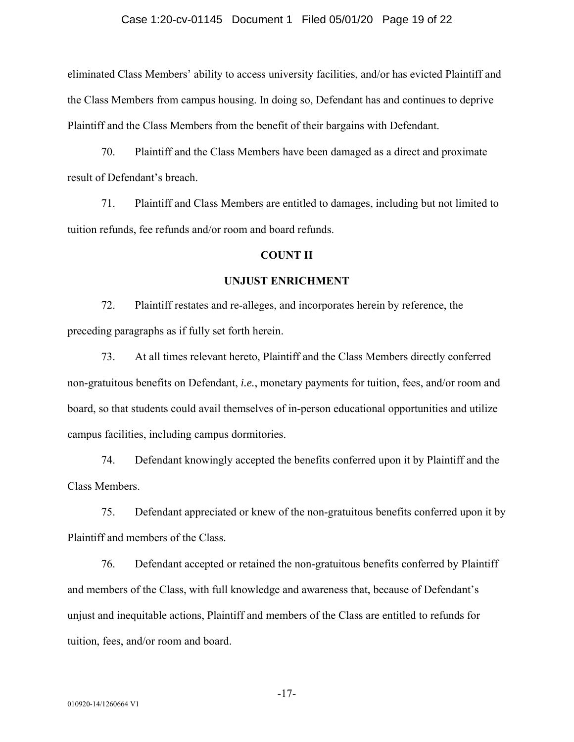#### Case 1:20-cv-01145 Document 1 Filed 05/01/20 Page 19 of 22

eliminated Class Members' ability to access university facilities, and/or has evicted Plaintiff and the Class Members from campus housing. In doing so, Defendant has and continues to deprive Plaintiff and the Class Members from the benefit of their bargains with Defendant.

70. Plaintiff and the Class Members have been damaged as a direct and proximate result of Defendant's breach.

71. Plaintiff and Class Members are entitled to damages, including but not limited to tuition refunds, fee refunds and/or room and board refunds.

#### **COUNT II**

#### **UNJUST ENRICHMENT**

72. Plaintiff restates and re-alleges, and incorporates herein by reference, the preceding paragraphs as if fully set forth herein.

73. At all times relevant hereto, Plaintiff and the Class Members directly conferred non-gratuitous benefits on Defendant, *i.e.*, monetary payments for tuition, fees, and/or room and board, so that students could avail themselves of in-person educational opportunities and utilize campus facilities, including campus dormitories.

74. Defendant knowingly accepted the benefits conferred upon it by Plaintiff and the Class Members.

75. Defendant appreciated or knew of the non-gratuitous benefits conferred upon it by Plaintiff and members of the Class.

76. Defendant accepted or retained the non-gratuitous benefits conferred by Plaintiff and members of the Class, with full knowledge and awareness that, because of Defendant's unjust and inequitable actions, Plaintiff and members of the Class are entitled to refunds for tuition, fees, and/or room and board.

-17-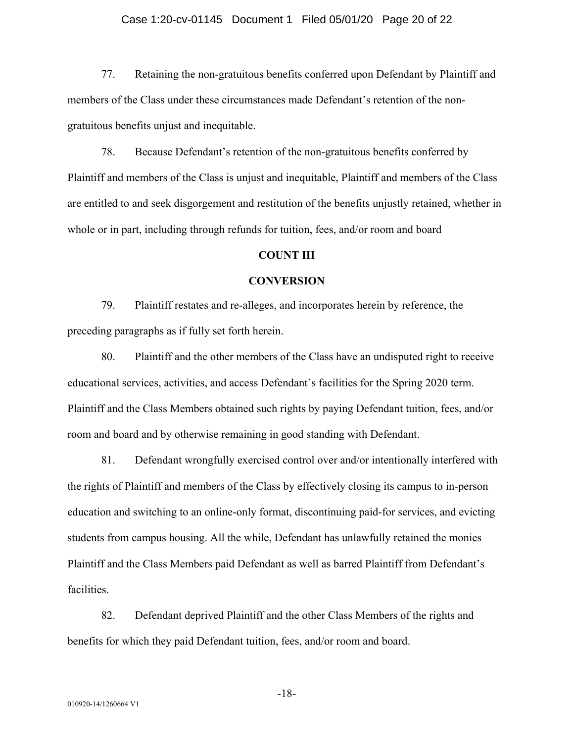#### Case 1:20-cv-01145 Document 1 Filed 05/01/20 Page 20 of 22

77. Retaining the non-gratuitous benefits conferred upon Defendant by Plaintiff and members of the Class under these circumstances made Defendant's retention of the nongratuitous benefits unjust and inequitable.

78. Because Defendant's retention of the non-gratuitous benefits conferred by Plaintiff and members of the Class is unjust and inequitable, Plaintiff and members of the Class are entitled to and seek disgorgement and restitution of the benefits unjustly retained, whether in whole or in part, including through refunds for tuition, fees, and/or room and board

#### **COUNT III**

#### **CONVERSION**

79. Plaintiff restates and re-alleges, and incorporates herein by reference, the preceding paragraphs as if fully set forth herein.

80. Plaintiff and the other members of the Class have an undisputed right to receive educational services, activities, and access Defendant's facilities for the Spring 2020 term. Plaintiff and the Class Members obtained such rights by paying Defendant tuition, fees, and/or room and board and by otherwise remaining in good standing with Defendant.

81. Defendant wrongfully exercised control over and/or intentionally interfered with the rights of Plaintiff and members of the Class by effectively closing its campus to in-person education and switching to an online-only format, discontinuing paid-for services, and evicting students from campus housing. All the while, Defendant has unlawfully retained the monies Plaintiff and the Class Members paid Defendant as well as barred Plaintiff from Defendant's facilities.

82. Defendant deprived Plaintiff and the other Class Members of the rights and benefits for which they paid Defendant tuition, fees, and/or room and board.

-18-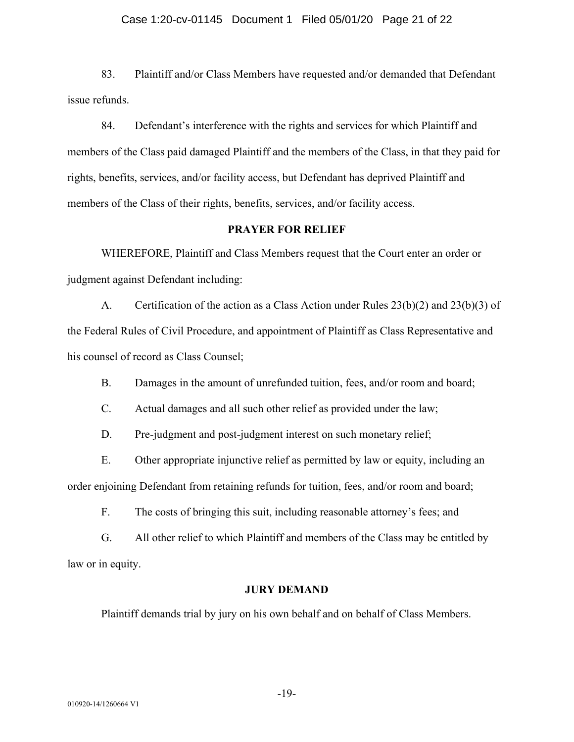#### Case 1:20-cv-01145 Document 1 Filed 05/01/20 Page 21 of 22

83. Plaintiff and/or Class Members have requested and/or demanded that Defendant issue refunds.

84. Defendant's interference with the rights and services for which Plaintiff and members of the Class paid damaged Plaintiff and the members of the Class, in that they paid for rights, benefits, services, and/or facility access, but Defendant has deprived Plaintiff and members of the Class of their rights, benefits, services, and/or facility access.

#### **PRAYER FOR RELIEF**

WHEREFORE, Plaintiff and Class Members request that the Court enter an order or judgment against Defendant including:

A. Certification of the action as a Class Action under Rules 23(b)(2) and 23(b)(3) of the Federal Rules of Civil Procedure, and appointment of Plaintiff as Class Representative and his counsel of record as Class Counsel;

B. Damages in the amount of unrefunded tuition, fees, and/or room and board;

C. Actual damages and all such other relief as provided under the law;

D. Pre-judgment and post-judgment interest on such monetary relief;

E. Other appropriate injunctive relief as permitted by law or equity, including an order enjoining Defendant from retaining refunds for tuition, fees, and/or room and board;

F. The costs of bringing this suit, including reasonable attorney's fees; and

G. All other relief to which Plaintiff and members of the Class may be entitled by law or in equity.

#### **JURY DEMAND**

Plaintiff demands trial by jury on his own behalf and on behalf of Class Members.

-19-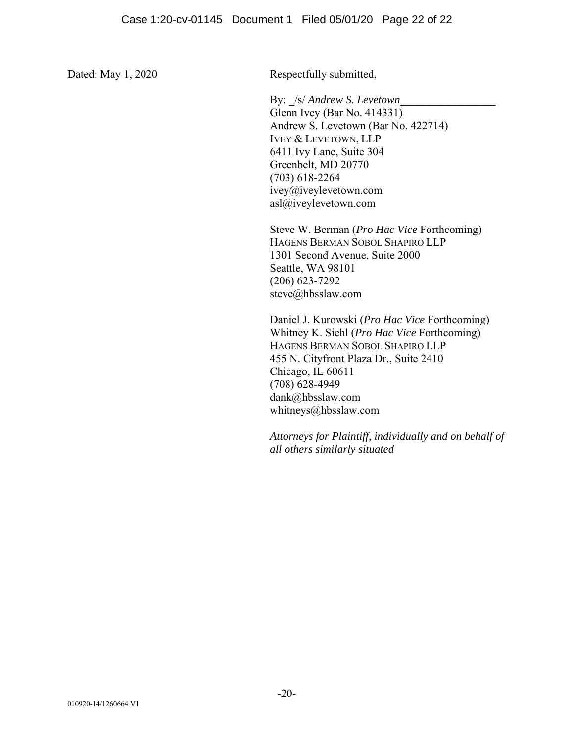Dated: May 1, 2020 Respectfully submitted,

By: /s/ *Andrew S. Levetown* 

Glenn Ivey (Bar No. 414331) Andrew S. Levetown (Bar No. 422714) IVEY & LEVETOWN, LLP 6411 Ivy Lane, Suite 304 Greenbelt, MD 20770 (703) 618-2264 ivey@iveylevetown.com asl@iveylevetown.com

Steve W. Berman (*Pro Hac Vice* Forthcoming) HAGENS BERMAN SOBOL SHAPIRO LLP 1301 Second Avenue, Suite 2000 Seattle, WA 98101 (206) 623-7292 steve@hbsslaw.com

Daniel J. Kurowski (*Pro Hac Vice* Forthcoming) Whitney K. Siehl (*Pro Hac Vice* Forthcoming) HAGENS BERMAN SOBOL SHAPIRO LLP 455 N. Cityfront Plaza Dr., Suite 2410 Chicago, IL 60611 (708) 628-4949 dank@hbsslaw.com whitneys@hbsslaw.com

*Attorneys for Plaintiff, individually and on behalf of all others similarly situated*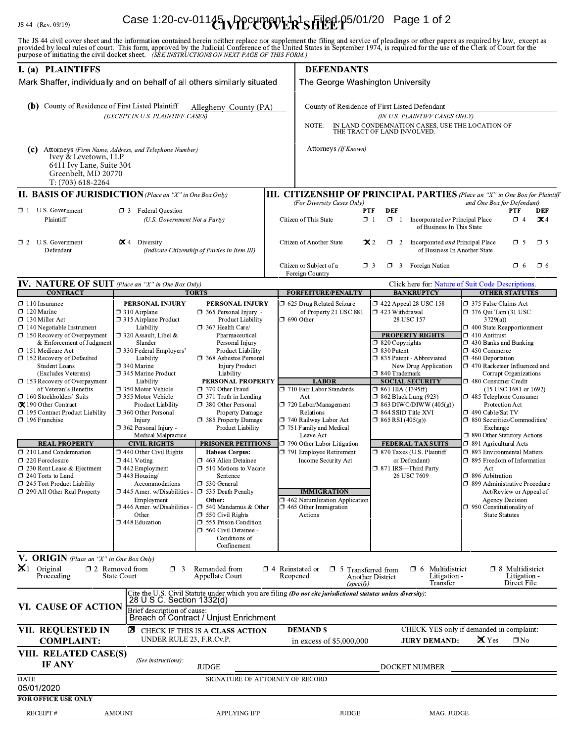# Case 1:20-cv-01145 VPpcument-R-SFIEE P5/01/20 Page 1 of 2

The JS 44 civil cover sheet and the information contained herein neither replace nor supplement the filing and service of pleadings or other papers as required by law, except as provided by local rules of court. This form,

| I. (a) PLAINTIFFS                                                                                                                                                                                                                                                                                                                                                                                                                                                                                                                                                                                                                                                      |                                                                                                                                                                                                                                                                                                                                                                                                                                                                                                                                                                                                                                               |                                                                                                                                                                                                                                                                                                                                                                                                                                                                                                                                                                                                                                                                                                                                      |  | <b>DEFENDANTS</b>                                                                                                                                                                                                                                                                                                                                                                                                                                         |                                                                                                                                                                                                                                                                                                                                                                                                                                                                                                               |                                                                                                                                                                                                                                                                                                                                                                                                                                                                                                                                                                                                                                                                                                                                                     |  |  |
|------------------------------------------------------------------------------------------------------------------------------------------------------------------------------------------------------------------------------------------------------------------------------------------------------------------------------------------------------------------------------------------------------------------------------------------------------------------------------------------------------------------------------------------------------------------------------------------------------------------------------------------------------------------------|-----------------------------------------------------------------------------------------------------------------------------------------------------------------------------------------------------------------------------------------------------------------------------------------------------------------------------------------------------------------------------------------------------------------------------------------------------------------------------------------------------------------------------------------------------------------------------------------------------------------------------------------------|--------------------------------------------------------------------------------------------------------------------------------------------------------------------------------------------------------------------------------------------------------------------------------------------------------------------------------------------------------------------------------------------------------------------------------------------------------------------------------------------------------------------------------------------------------------------------------------------------------------------------------------------------------------------------------------------------------------------------------------|--|-----------------------------------------------------------------------------------------------------------------------------------------------------------------------------------------------------------------------------------------------------------------------------------------------------------------------------------------------------------------------------------------------------------------------------------------------------------|---------------------------------------------------------------------------------------------------------------------------------------------------------------------------------------------------------------------------------------------------------------------------------------------------------------------------------------------------------------------------------------------------------------------------------------------------------------------------------------------------------------|-----------------------------------------------------------------------------------------------------------------------------------------------------------------------------------------------------------------------------------------------------------------------------------------------------------------------------------------------------------------------------------------------------------------------------------------------------------------------------------------------------------------------------------------------------------------------------------------------------------------------------------------------------------------------------------------------------------------------------------------------------|--|--|
| Mark Shaffer, individually and on behalf of all others similarly situated                                                                                                                                                                                                                                                                                                                                                                                                                                                                                                                                                                                              |                                                                                                                                                                                                                                                                                                                                                                                                                                                                                                                                                                                                                                               |                                                                                                                                                                                                                                                                                                                                                                                                                                                                                                                                                                                                                                                                                                                                      |  | The George Washington University                                                                                                                                                                                                                                                                                                                                                                                                                          |                                                                                                                                                                                                                                                                                                                                                                                                                                                                                                               |                                                                                                                                                                                                                                                                                                                                                                                                                                                                                                                                                                                                                                                                                                                                                     |  |  |
| (b) County of Residence of First Listed Plaintiff                                                                                                                                                                                                                                                                                                                                                                                                                                                                                                                                                                                                                      | (EXCEPT IN U.S. PLAINTIFF CASES)                                                                                                                                                                                                                                                                                                                                                                                                                                                                                                                                                                                                              | Allegheny County (PA)                                                                                                                                                                                                                                                                                                                                                                                                                                                                                                                                                                                                                                                                                                                |  | County of Residence of First Listed Defendant<br>(IN U.S. PLAINTIFF CASES ONLY)<br>IN LAND CONDEMNATION CASES, USE THE LOCATION OF<br>NOTE:<br>THE TRACT OF LAND INVOLVED.                                                                                                                                                                                                                                                                                |                                                                                                                                                                                                                                                                                                                                                                                                                                                                                                               |                                                                                                                                                                                                                                                                                                                                                                                                                                                                                                                                                                                                                                                                                                                                                     |  |  |
| (c) Attorneys (Firm Name, Address, and Telephone Number)<br>Ivey & Levetown, LLP<br>6411 Ivy Lane, Suite 304<br>Greenbelt, MD 20770<br>T: (703) 618-2264                                                                                                                                                                                                                                                                                                                                                                                                                                                                                                               |                                                                                                                                                                                                                                                                                                                                                                                                                                                                                                                                                                                                                                               |                                                                                                                                                                                                                                                                                                                                                                                                                                                                                                                                                                                                                                                                                                                                      |  | Attorneys (If Known)                                                                                                                                                                                                                                                                                                                                                                                                                                      |                                                                                                                                                                                                                                                                                                                                                                                                                                                                                                               |                                                                                                                                                                                                                                                                                                                                                                                                                                                                                                                                                                                                                                                                                                                                                     |  |  |
| <b>II. BASIS OF JURISDICTION</b> (Place an "X" in One Box Only)                                                                                                                                                                                                                                                                                                                                                                                                                                                                                                                                                                                                        |                                                                                                                                                                                                                                                                                                                                                                                                                                                                                                                                                                                                                                               |                                                                                                                                                                                                                                                                                                                                                                                                                                                                                                                                                                                                                                                                                                                                      |  |                                                                                                                                                                                                                                                                                                                                                                                                                                                           |                                                                                                                                                                                                                                                                                                                                                                                                                                                                                                               | <b>III. CITIZENSHIP OF PRINCIPAL PARTIES</b> (Place an "X" in One Box for Plaintiff                                                                                                                                                                                                                                                                                                                                                                                                                                                                                                                                                                                                                                                                 |  |  |
| $\Box$ 1 U.S. Government<br><b>1</b> 3 Federal Question<br>Plaintiff<br>(U.S. Government Not a Party)                                                                                                                                                                                                                                                                                                                                                                                                                                                                                                                                                                  |                                                                                                                                                                                                                                                                                                                                                                                                                                                                                                                                                                                                                                               |                                                                                                                                                                                                                                                                                                                                                                                                                                                                                                                                                                                                                                                                                                                                      |  | (For Diversity Cases Only)<br>Citizen of This State                                                                                                                                                                                                                                                                                                                                                                                                       | <b>DEF</b><br><b>PTF</b><br>$\Box$ 1<br>$\Box$ 1<br>Incorporated or Principal Place<br>of Business In This State                                                                                                                                                                                                                                                                                                                                                                                              | and One Box for Defendant)<br><b>PTF</b><br><b>DEF</b><br>$\Box$ 4<br>$\mathbf{X}$ 4                                                                                                                                                                                                                                                                                                                                                                                                                                                                                                                                                                                                                                                                |  |  |
| $\Box$ 2 U.S. Government<br>$\mathbf{\times}$ 4 Diversity<br>Defendant                                                                                                                                                                                                                                                                                                                                                                                                                                                                                                                                                                                                 |                                                                                                                                                                                                                                                                                                                                                                                                                                                                                                                                                                                                                                               | (Indicate Citizenship of Parties in Item III)                                                                                                                                                                                                                                                                                                                                                                                                                                                                                                                                                                                                                                                                                        |  | Citizen of Another State                                                                                                                                                                                                                                                                                                                                                                                                                                  | $\mathbf{\times} 2$<br>$\Box$ 2 Incorporated <i>and</i> Principal Place<br>of Business In Another State                                                                                                                                                                                                                                                                                                                                                                                                       | $\square$ 5<br>$\Box$ 5                                                                                                                                                                                                                                                                                                                                                                                                                                                                                                                                                                                                                                                                                                                             |  |  |
|                                                                                                                                                                                                                                                                                                                                                                                                                                                                                                                                                                                                                                                                        |                                                                                                                                                                                                                                                                                                                                                                                                                                                                                                                                                                                                                                               |                                                                                                                                                                                                                                                                                                                                                                                                                                                                                                                                                                                                                                                                                                                                      |  | Citizen or Subject of a<br>Foreign Country                                                                                                                                                                                                                                                                                                                                                                                                                | $\Box$ 3 Foreign Nation<br>$\Box$ 3                                                                                                                                                                                                                                                                                                                                                                                                                                                                           | $\Box$ 6<br>$\square$ 6                                                                                                                                                                                                                                                                                                                                                                                                                                                                                                                                                                                                                                                                                                                             |  |  |
| <b>IV. NATURE OF SUIT</b> (Place an "X" in One Box Only)<br><b>CONTRACT</b>                                                                                                                                                                                                                                                                                                                                                                                                                                                                                                                                                                                            |                                                                                                                                                                                                                                                                                                                                                                                                                                                                                                                                                                                                                                               |                                                                                                                                                                                                                                                                                                                                                                                                                                                                                                                                                                                                                                                                                                                                      |  |                                                                                                                                                                                                                                                                                                                                                                                                                                                           | <b>BANKRUPTCY</b>                                                                                                                                                                                                                                                                                                                                                                                                                                                                                             | Click here for: Nature of Suit Code Descriptions.<br><b>OTHER STATUTES</b>                                                                                                                                                                                                                                                                                                                                                                                                                                                                                                                                                                                                                                                                          |  |  |
| $\Box$ 110 Insurance<br>$\Box$ 120 Marine<br>$\Box$ 130 Miller Act<br>$\Box$ 140 Negotiable Instrument<br>$\Box$ 150 Recovery of Overpayment<br>& Enforcement of Judgment<br>□ 151 Medicare Act<br>□ 152 Recovery of Defaulted<br><b>Student Loans</b><br>(Excludes Veterans)<br>$\Box$ 153 Recovery of Overpayment<br>of Veteran's Benefits<br>$\Box$ 160 Stockholders' Suits<br>X 190 Other Contract<br>195 Contract Product Liability<br>$\Box$ 196 Franchise<br><b>REAL PROPERTY</b><br>210 Land Condemnation<br>$\Box$ 220 Foreclosure<br>□ 230 Rent Lease & Ejectment<br>240 Torts to Land<br>$\Box$ 245 Tort Product Liability<br>□ 290 All Other Real Property | PERSONAL INJURY<br>$\Box$ 310 Airplane<br>□ 315 Airplane Product<br>Liability<br>$\Box$ 320 Assault, Libel &<br>Slander<br>□ 330 Federal Employers'<br>Liability<br>$\Box$ 340 Marine<br>□ 345 Marine Product<br>Liability<br>□ 350 Motor Vehicle<br>□ 355 Motor Vehicle<br>Product Liability<br>360 Other Personal<br>Injury<br>$\Box$ 362 Personal Injury -<br>Medical Malpractice<br><b>CIVIL RIGHTS</b><br>$\Box$ 440 Other Civil Rights<br>$\Box$ 441 Voting<br>$\Box$ 442 Employment<br>$\Box$ 443 Housing/<br>Accommodations<br>□ 445 Amer. w/Disabilities -<br>Employment<br>□ 446 Amer. w/Disabilities -<br>Other<br>□ 448 Education | <b>TORTS</b><br>PERSONAL INJURY<br>$\Box$ 365 Personal Injury -<br>Product Liability<br>$\Box$ 367 Health Care/<br>Pharmaceutical<br>Personal Injury<br>Product Liability<br>□ 368 Asbestos Personal<br><b>Injury Product</b><br>Liability<br>PERSONAL PROPERTY<br>370 Other Fraud<br>$\Box$ 371 Truth in Lending<br>380 Other Personal<br>Property Damage<br>□ 385 Property Damage<br>Product Liability<br>PRISONER PETITIONS<br><b>Habeas Corpus:</b><br>$\Box$ 463 Alien Detainee<br>$\Box$ 510 Motions to Vacate<br>Sentence<br>$\Box$ 530 General<br>□ 535 Death Penalty<br>Other:<br>$\Box$ 540 Mandamus & Other<br>$\square$ 550 Civil Rights<br>555 Prison Condition<br>560 Civil Detainee -<br>Conditions of<br>Confinement |  | <b>FORFEITURE/PENALTY</b><br>□ 625 Drug Related Seizure<br>of Property 21 USC 881<br>$\Box$ 690 Other<br><b>LABOR</b><br>□ 710 Fair Labor Standards<br>Act<br>720 Labor/Management<br>Relations<br>740 Railway Labor Act<br>751 Family and Medical<br>Leave Act<br>790 Other Labor Litigation<br>□ 791 Employee Retirement<br>Income Security Act<br><b>IMMIGRATION</b><br>□ 462 Naturalization Application<br>$\square$ 465 Other Immigration<br>Actions | $\Box$ 422 Appeal 28 USC 158<br>1 423 Withdrawal<br>28 USC 157<br><b>PROPERTY RIGHTS</b><br>$\Box$ 820 Copyrights<br>$\Box$ 830 Patent<br>□ 835 Patent - Abbreviated<br>New Drug Application<br>□ 840 Trademark<br><b>SOCIAL SECURITY</b><br>$\Box$ 861 HIA (1395ff)<br><b>1 862 Black Lung (923)</b><br>$\Box$ 863 DIWC/DIWW (405(g))<br>□ 864 SSID Title XVI<br>$\Box$ 865 RSI (405(g))<br><b>FEDERAL TAX SUITS</b><br>□ 870 Taxes (U.S. Plaintiff<br>or Defendant)<br>□ 871 IRS-Third Party<br>26 USC 7609 | □ 375 False Claims Act<br>$\Box$ 376 Qui Tam (31 USC<br>3729(a)<br>$\Box$ 400 State Reapportionment<br>$\Box$ 410 Antitrust<br>$\Box$ 430 Banks and Banking<br>□ 450 Commerce<br>$\Box$ 460 Deportation<br>□ 470 Racketeer Influenced and<br>Corrupt Organizations<br>□ 480 Consumer Credit<br>(15 USC 1681 or 1692)<br>1485 Telephone Consumer<br>Protection Act<br>□ 490 Cable/Sat TV<br>$\Box$ 850 Securities/Commodities/<br>Exchange<br>□ 890 Other Statutory Actions<br>□ 891 Agricultural Acts<br>□ 893 Environmental Matters<br>□ 895 Freedom of Information<br>Act<br>□ 896 Arbitration<br>□ 899 Administrative Procedure<br>Act/Review or Appeal of<br><b>Agency Decision</b><br>$\Box$ 950 Constitutionality of<br><b>State Statutes</b> |  |  |
| V. ORIGIN (Place an "X" in One Box Only)<br>$\mathbf{X}$ 1 Original<br>Proceeding                                                                                                                                                                                                                                                                                                                                                                                                                                                                                                                                                                                      | $\square$ 2 Removed from<br>$\Box$ 3<br><b>State Court</b>                                                                                                                                                                                                                                                                                                                                                                                                                                                                                                                                                                                    | Remanded from<br>Appellate Court                                                                                                                                                                                                                                                                                                                                                                                                                                                                                                                                                                                                                                                                                                     |  | $\Box$ 4 Reinstated or $\Box$ 5 Transferred from<br>Reopened                                                                                                                                                                                                                                                                                                                                                                                              | $\Box$ 6 Multidistrict<br>Litigation -<br>Another District<br>Transfer                                                                                                                                                                                                                                                                                                                                                                                                                                        | $\Box$ 8 Multidistrict<br>Litigation -<br>Direct File                                                                                                                                                                                                                                                                                                                                                                                                                                                                                                                                                                                                                                                                                               |  |  |
| VI. CAUSE OF ACTION                                                                                                                                                                                                                                                                                                                                                                                                                                                                                                                                                                                                                                                    | 28 U.S.C. Section 1332(d)<br>Brief description of cause:                                                                                                                                                                                                                                                                                                                                                                                                                                                                                                                                                                                      | Breach of Contract / Unjust Enrichment                                                                                                                                                                                                                                                                                                                                                                                                                                                                                                                                                                                                                                                                                               |  | (specify)<br>Cite the U.S. Civil Statute under which you are filing (Do not cite jurisdictional statutes unless diversity):                                                                                                                                                                                                                                                                                                                               |                                                                                                                                                                                                                                                                                                                                                                                                                                                                                                               |                                                                                                                                                                                                                                                                                                                                                                                                                                                                                                                                                                                                                                                                                                                                                     |  |  |
| VII. REQUESTED IN<br><b>COMPLAINT:</b>                                                                                                                                                                                                                                                                                                                                                                                                                                                                                                                                                                                                                                 | UNDER RULE 23, F.R.Cv.P.                                                                                                                                                                                                                                                                                                                                                                                                                                                                                                                                                                                                                      | <b>E</b> CHECK IF THIS IS A CLASS ACTION                                                                                                                                                                                                                                                                                                                                                                                                                                                                                                                                                                                                                                                                                             |  | <b>DEMAND \$</b><br>in excess of \$5,000,000                                                                                                                                                                                                                                                                                                                                                                                                              | <b>JURY DEMAND:</b>                                                                                                                                                                                                                                                                                                                                                                                                                                                                                           | CHECK YES only if demanded in complaint:<br>$\mathbf{\mathsf{X}}$ Yes<br>$\Box$ No                                                                                                                                                                                                                                                                                                                                                                                                                                                                                                                                                                                                                                                                  |  |  |
| VIII. RELATED CASE(S)<br>(See instructions):<br>IF ANY<br><b>JUDGE</b>                                                                                                                                                                                                                                                                                                                                                                                                                                                                                                                                                                                                 |                                                                                                                                                                                                                                                                                                                                                                                                                                                                                                                                                                                                                                               |                                                                                                                                                                                                                                                                                                                                                                                                                                                                                                                                                                                                                                                                                                                                      |  | DOCKET NUMBER                                                                                                                                                                                                                                                                                                                                                                                                                                             |                                                                                                                                                                                                                                                                                                                                                                                                                                                                                                               |                                                                                                                                                                                                                                                                                                                                                                                                                                                                                                                                                                                                                                                                                                                                                     |  |  |
| <b>DATE</b><br>05/01/2020                                                                                                                                                                                                                                                                                                                                                                                                                                                                                                                                                                                                                                              |                                                                                                                                                                                                                                                                                                                                                                                                                                                                                                                                                                                                                                               | SIGNATURE OF ATTORNEY OF RECORD                                                                                                                                                                                                                                                                                                                                                                                                                                                                                                                                                                                                                                                                                                      |  |                                                                                                                                                                                                                                                                                                                                                                                                                                                           |                                                                                                                                                                                                                                                                                                                                                                                                                                                                                                               |                                                                                                                                                                                                                                                                                                                                                                                                                                                                                                                                                                                                                                                                                                                                                     |  |  |
| <b>FOR OFFICE USE ONLY</b><br><b>RECEIPT#</b>                                                                                                                                                                                                                                                                                                                                                                                                                                                                                                                                                                                                                          | <b>AMOUNT</b>                                                                                                                                                                                                                                                                                                                                                                                                                                                                                                                                                                                                                                 | APPLYING IFP                                                                                                                                                                                                                                                                                                                                                                                                                                                                                                                                                                                                                                                                                                                         |  | <b>JUDGE</b>                                                                                                                                                                                                                                                                                                                                                                                                                                              | MAG. JUDGE                                                                                                                                                                                                                                                                                                                                                                                                                                                                                                    |                                                                                                                                                                                                                                                                                                                                                                                                                                                                                                                                                                                                                                                                                                                                                     |  |  |
|                                                                                                                                                                                                                                                                                                                                                                                                                                                                                                                                                                                                                                                                        |                                                                                                                                                                                                                                                                                                                                                                                                                                                                                                                                                                                                                                               |                                                                                                                                                                                                                                                                                                                                                                                                                                                                                                                                                                                                                                                                                                                                      |  |                                                                                                                                                                                                                                                                                                                                                                                                                                                           |                                                                                                                                                                                                                                                                                                                                                                                                                                                                                                               |                                                                                                                                                                                                                                                                                                                                                                                                                                                                                                                                                                                                                                                                                                                                                     |  |  |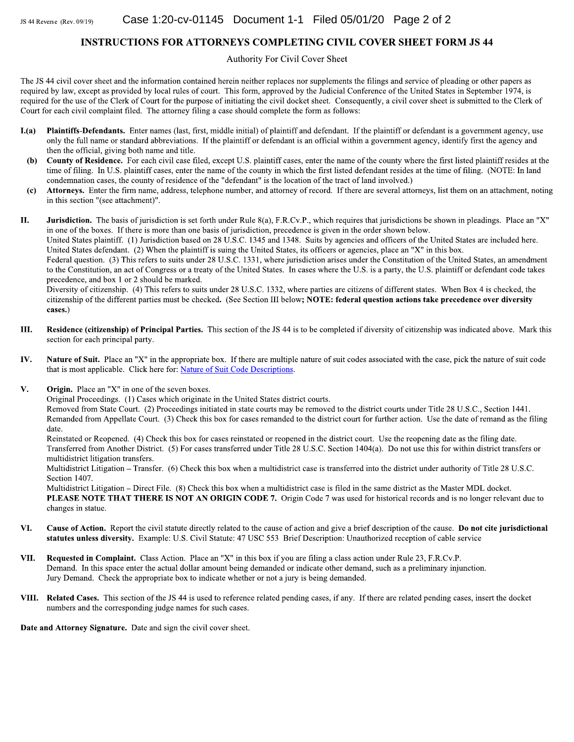#### **INSTRUCTIONS FOR ATTORNEYS COMPLETING CIVIL COVER SHEET FORM JS 44**

Authority For Civil Cover Sheet

The JS 44 civil cover sheet and the information contained herein neither replaces nor supplements the filings and service of pleading or other papers as required by law, except as provided by local rules of court. This form, approved by the Judicial Conference of the United States in September 1974, is required for the use of the Clerk of Court for the purpose of initiating the civil docket sheet. Consequently, a civil cover sheet is submitted to the Clerk of Court for each civil complaint filed. The attorney filing a case should complete the form as follows:

- Plaintiffs-Defendants. Enter names (last, first, middle initial) of plaintiff and defendant. If the plaintiff or defendant is a government agency, use  $L(a)$ only the full name or standard abbreviations. If the plaintiff or defendant is an official within a government agency, identify first the agency and then the official, giving both name and title.
- County of Residence. For each civil case filed, except U.S. plaintiff cases, enter the name of the county where the first listed plaintiff resides at the  $(b)$ time of filing. In U.S. plaintiff cases, enter the name of the county in which the first listed defendant resides at the time of filing. (NOTE: In land condemnation cases, the county of residence of the "defendant" is the location of the tract of land involved.)
- $\left( \mathbf{c} \right)$ Attorneys. Enter the firm name, address, telephone number, and attorney of record. If there are several attorneys, list them on an attachment, noting in this section "(see attachment)".

Jurisdiction. The basis of jurisdiction is set forth under Rule 8(a), F.R.Cv.P., which requires that jurisdictions be shown in pleadings. Place an "X" П. in one of the boxes. If there is more than one basis of jurisdiction, precedence is given in the order shown below.

United States plaintiff. (1) Jurisdiction based on 28 U.S.C. 1345 and 1348. Suits by agencies and officers of the United States are included here. United States defendant. (2) When the plaintiff is suing the United States, its officers or agencies, place an "X" in this box.

Federal question. (3) This refers to suits under 28 U.S.C. 1331, where jurisdiction arises under the Constitution of the United States, an amendment to the Constitution, an act of Congress or a treaty of the United States. In cases where the U.S. is a party, the U.S. plaintiff or defendant code takes precedence, and box 1 or 2 should be marked.

Diversity of citizenship. (4) This refers to suits under 28 U.S.C. 1332, where parties are citizens of different states. When Box 4 is checked, the citizenship of the different parties must be checked. (See Section III below; NOTE: federal question actions take precedence over diversity cases.)

- Ш. Residence (citizenship) of Principal Parties. This section of the JS 44 is to be completed if diversity of citizenship was indicated above. Mark this section for each principal party.
- Nature of Suit. Place an "X" in the appropriate box. If there are multiple nature of suit codes associated with the case, pick the nature of suit code IV. that is most applicable. Click here for: Nature of Suit Code Descriptions.
- V. **Origin.** Place an " $X$ " in one of the seven boxes.

Original Proceedings. (1) Cases which originate in the United States district courts.

Removed from State Court. (2) Proceedings initiated in state courts may be removed to the district courts under Title 28 U.S.C., Section 1441. Remanded from Appellate Court. (3) Check this box for cases remanded to the district court for further action. Use the date of remand as the filing date.

Reinstated or Reopened. (4) Check this box for cases reinstated or reopened in the district court. Use the reopening date as the filing date. Transferred from Another District. (5) For cases transferred under Title 28 U.S.C. Section 1404(a). Do not use this for within district transfers or multidistrict litigation transfers.

Multidistrict Litigation – Transfer. (6) Check this box when a multidistrict case is transferred into the district under authority of Title 28 U.S.C. Section 1407.

Multidistrict Litigation – Direct File. (8) Check this box when a multidistrict case is filed in the same district as the Master MDL docket. PLEASE NOTE THAT THERE IS NOT AN ORIGIN CODE 7. Origin Code 7 was used for historical records and is no longer relevant due to changes in statue.

- VI. Cause of Action. Report the civil statute directly related to the cause of action and give a brief description of the cause. Do not cite jurisdictional statutes unless diversity. Example: U.S. Civil Statute: 47 USC 553 Brief Description: Unauthorized reception of cable service
- Requested in Complaint. Class Action. Place an "X" in this box if you are filing a class action under Rule 23, F.R.Cv.P. VII. Demand. In this space enter the actual dollar amount being demanded or indicate other demand, such as a preliminary injunction. Jury Demand. Check the appropriate box to indicate whether or not a jury is being demanded.
- VIII. Related Cases. This section of the JS 44 is used to reference related pending cases, if any. If there are related pending cases, insert the docket numbers and the corresponding judge names for such cases.

Date and Attorney Signature. Date and sign the civil cover sheet.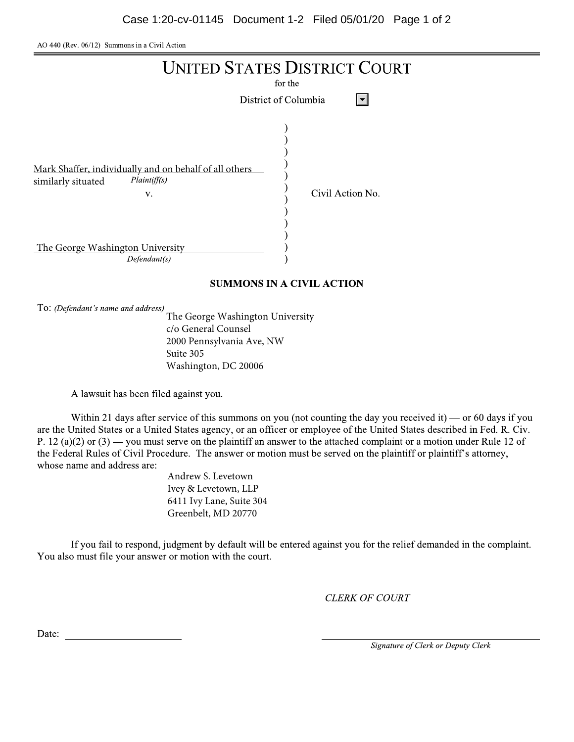AO 440 (Rev. 06/12) Summons in a Civil Action



## **SUMMONS IN A CIVIL ACTION**

To: (Defendant's name and address)

The George Washington University c/o General Counsel 2000 Pennsylvania Ave, NW Suite 305 Washington, DC 20006

A lawsuit has been filed against you.

Within 21 days after service of this summons on you (not counting the day you received it) — or 60 days if you are the United States or a United States agency, or an officer or employee of the United States described in Fed. R. Civ. P. 12 (a)(2) or (3) — you must serve on the plaintiff an answer to the attached complaint or a motion under Rule 12 of the Federal Rules of Civil Procedure. The answer or motion must be served on the plaintiff or plaintiff's attorney, whose name and address are:

Andrew S. Levetown Ivey & Levetown, LLP 6411 Ivy Lane, Suite 304 Greenbelt, MD 20770

If you fail to respond, judgment by default will be entered against you for the relief demanded in the complaint. You also must file your answer or motion with the court.

**CLERK OF COURT** 

Date:

Signature of Clerk or Deputy Clerk